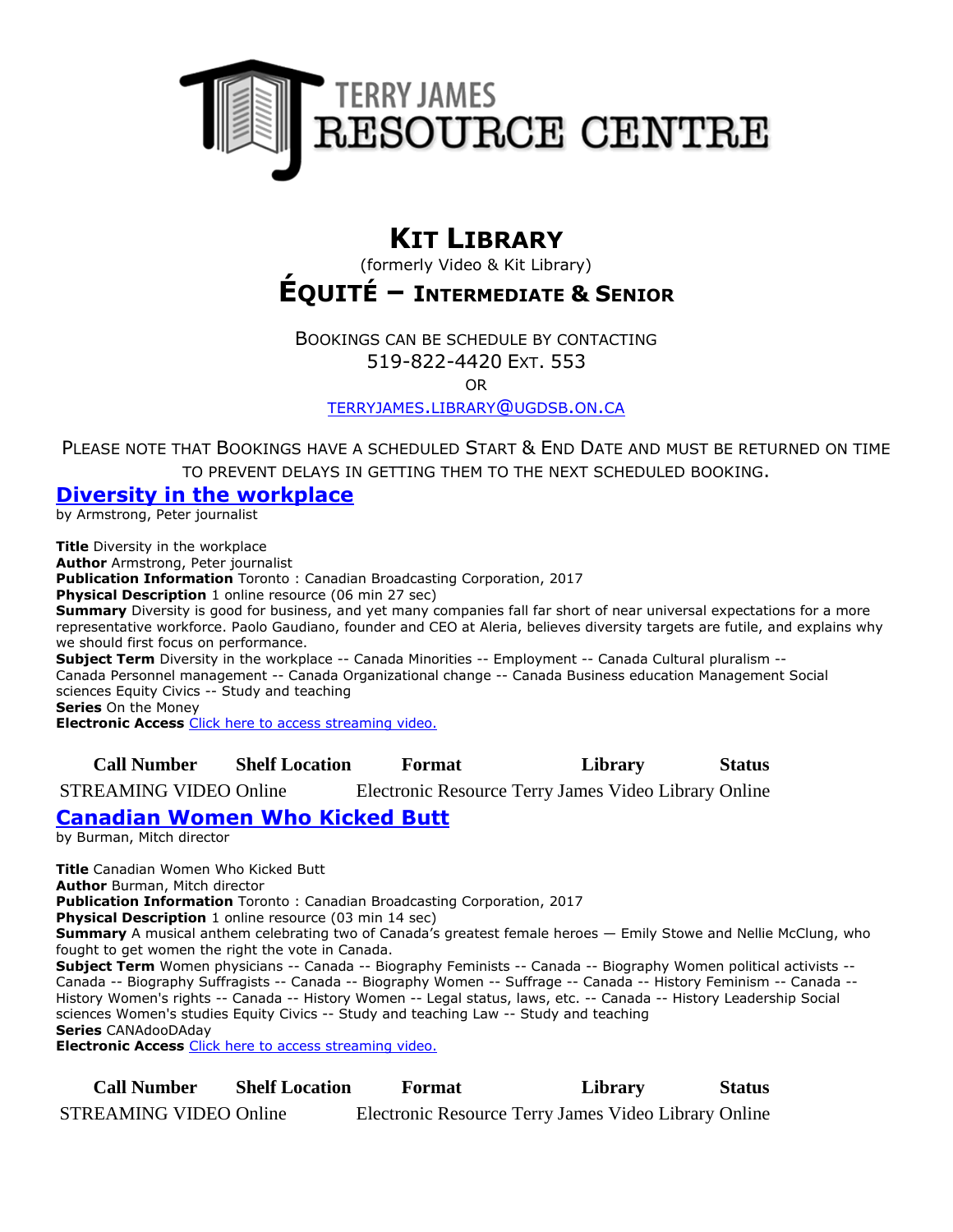

# **KIT LIBRARY**

(formerly Video & Kit Library)

# **ÉQUITÉ – INTERMEDIATE & SENIOR**

BOOKINGS CAN BE SCHEDULE BY CONTACTING 519-822-4420 EXT. 553

OR

[TERRYJAMES](mailto:terryjames.library@ugdsb.on.ca).LIBRARY@UGDSB.ON.CA

PLEASE NOTE THAT BOOKINGS HAVE A SCHEDULED START & END DATE AND MUST BE RETURNED ON TIME TO PREVENT DELAYS IN GETTING THEM TO THE NEXT SCHEDULED BOOKING.

### **[Diversity in the workplace](https://ug.ent.sirsidynix.net/client/en_CA/TJRtest/search/detailnonmodal/ent:$002f$002fSD_ILS$002f0$002fSD_ILS:306858/email?)**

by Armstrong, Peter journalist

**Title** Diversity in the workplace **Author** Armstrong, Peter journalist **Publication Information** Toronto : Canadian Broadcasting Corporation, 2017 **Physical Description** 1 online resource (06 min 27 sec) **Summary** Diversity is good for business, and yet many companies fall far short of near universal expectations for a more representative workforce. Paolo Gaudiano, founder and CEO at Aleria, believes diversity targets are futile, and explains why we should first focus on performance. **Subject Term** Diversity in the workplace -- Canada Minorities -- Employment -- Canada Cultural pluralism -- Canada Personnel management -- Canada Organizational change -- Canada Business education Management Social sciences Equity Civics -- Study and teaching **Series** On the Money **Electronic Access** [Click here to access streaming video.](http://curio.ca/en/video/diversity-in-the-workplace-14628/)

**Call Number Shelf Location Format Library Status**

STREAMING VIDEO Online Electronic Resource Terry James Video Library Online

# **[Canadian Women Who Kicked Butt](https://ug.ent.sirsidynix.net/client/en_CA/TJRtest/search/detailnonmodal/ent:$002f$002fSD_ILS$002f0$002fSD_ILS:306895/email?)**

by Burman, Mitch director

**Title** Canadian Women Who Kicked Butt **Author** Burman, Mitch director **Publication Information** Toronto : Canadian Broadcasting Corporation, 2017 **Physical Description** 1 online resource (03 min 14 sec) **Summary** A musical anthem celebrating two of Canada's greatest female heroes — Emily Stowe and Nellie McClung, who fought to get women the right the vote in Canada. **Subject Term** Women physicians -- Canada -- Biography Feminists -- Canada -- Biography Women political activists -- Canada -- Biography Suffragists -- Canada -- Biography Women -- Suffrage -- Canada -- History Feminism -- Canada -- History Women's rights -- Canada -- History Women -- Legal status, laws, etc. -- Canada -- History Leadership Social sciences Women's studies Equity Civics -- Study and teaching Law -- Study and teaching **Series** CANAdooDAday

**Electronic Access** [Click here to access streaming video.](http://curio.ca/en/video/canadian-women-who-kicked-butt-14831/)

**Call Number Shelf Location Format Library Status** STREAMING VIDEO Online Electronic Resource Terry James Video Library Online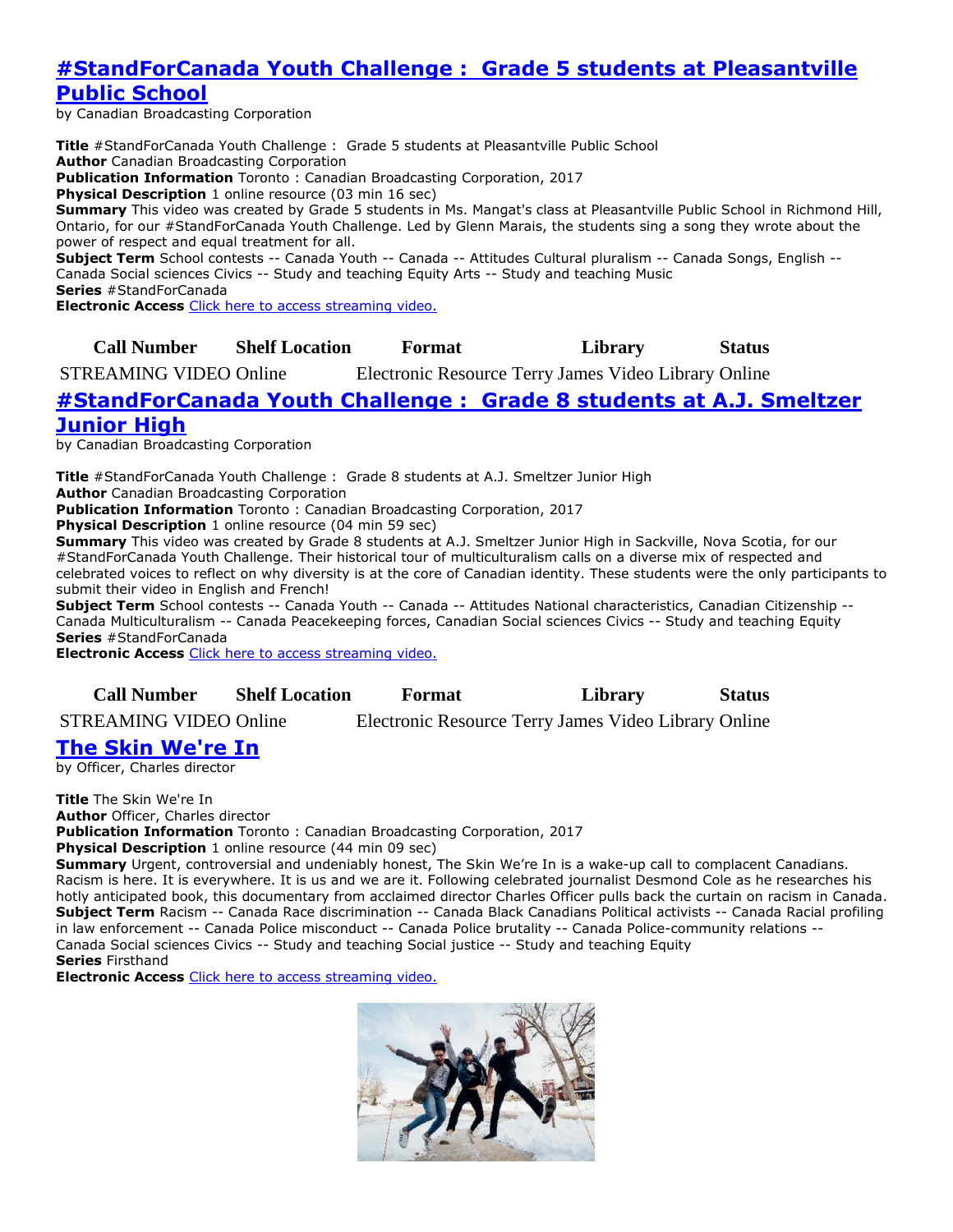# **#StandForCanada [Youth Challenge : Grade 5 students at Pleasantville](https://ug.ent.sirsidynix.net/client/en_CA/TJRtest/search/detailnonmodal/ent:$002f$002fSD_ILS$002f0$002fSD_ILS:306940/email?)  [Public School](https://ug.ent.sirsidynix.net/client/en_CA/TJRtest/search/detailnonmodal/ent:$002f$002fSD_ILS$002f0$002fSD_ILS:306940/email?)**

by Canadian Broadcasting Corporation

**Title** #StandForCanada Youth Challenge : Grade 5 students at Pleasantville Public School **Author** Canadian Broadcasting Corporation **Publication Information** Toronto : Canadian Broadcasting Corporation, 2017 **Physical Description** 1 online resource (03 min 16 sec) **Summary** This video was created by Grade 5 students in Ms. Mangat's class at Pleasantville Public School in Richmond Hill, Ontario, for our #StandForCanada Youth Challenge. Led by Glenn Marais, the students sing a song they wrote about the power of respect and equal treatment for all. **Subject Term** School contests -- Canada Youth -- Canada -- Attitudes Cultural pluralism -- Canada Songs, English -- Canada Social sciences Civics -- Study and teaching Equity Arts -- Study and teaching Music **Series** #StandForCanada

**Electronic Access** [Click here to access streaming video.](http://curio.ca/en/video/standforcanada-youth-challenge-grade-5-students-at-pleasantville-public-school-16124/)

## **Call Number Shelf Location Format Library Status**

STREAMING VIDEO Online Electronic Resource Terry James Video Library Online

### **[#StandForCanada Youth Challenge : Grade 8 students at A.J. Smeltzer](https://ug.ent.sirsidynix.net/client/en_CA/TJRtest/search/detailnonmodal/ent:$002f$002fSD_ILS$002f0$002fSD_ILS:306950/email?)  [Junior High](https://ug.ent.sirsidynix.net/client/en_CA/TJRtest/search/detailnonmodal/ent:$002f$002fSD_ILS$002f0$002fSD_ILS:306950/email?)**

by Canadian Broadcasting Corporation

**Title** #StandForCanada Youth Challenge : Grade 8 students at A.J. Smeltzer Junior High

**Author** Canadian Broadcasting Corporation

**Publication Information** Toronto : Canadian Broadcasting Corporation, 2017

**Physical Description** 1 online resource (04 min 59 sec)

**Summary** This video was created by Grade 8 students at A.J. Smeltzer Junior High in Sackville, Nova Scotia, for our #StandForCanada Youth Challenge. Their historical tour of multiculturalism calls on a diverse mix of respected and celebrated voices to reflect on why diversity is at the core of Canadian identity. These students were the only participants to submit their video in English and French!

**Subject Term** School contests -- Canada Youth -- Canada -- Attitudes National characteristics, Canadian Citizenship -- Canada Multiculturalism -- Canada Peacekeeping forces, Canadian Social sciences Civics -- Study and teaching Equity **Series** #StandForCanada

**Electronic Access** [Click here to access streaming video.](http://curio.ca/en/video/standforcanada-youth-challenge-grade-8-students-at-aj-smeltzer-junior-high-16136/)

**Call Number Shelf Location Format Library Status**

STREAMING VIDEO Online Electronic Resource Terry James Video Library Online

# **[The Skin We're In](https://ug.ent.sirsidynix.net/client/en_CA/TJRtest/search/detailnonmodal/ent:$002f$002fSD_ILS$002f0$002fSD_ILS:306985/email?)**

by Officer, Charles director

**Title** The Skin We're In **Author** Officer, Charles director **Publication Information** Toronto : Canadian Broadcasting Corporation, 2017

**Physical Description** 1 online resource (44 min 09 sec)

**Summary** Urgent, controversial and undeniably honest, The Skin We're In is a wake-up call to complacent Canadians. Racism is here. It is everywhere. It is us and we are it. Following celebrated journalist Desmond Cole as he researches his hotly anticipated book, this documentary from acclaimed director Charles Officer pulls back the curtain on racism in Canada. **Subject Term** Racism -- Canada Race discrimination -- Canada Black Canadians Political activists -- Canada Racial profiling in law enforcement -- Canada Police misconduct -- Canada Police brutality -- Canada Police-community relations -- Canada Social sciences Civics -- Study and teaching Social justice -- Study and teaching Equity **Series** Firsthand

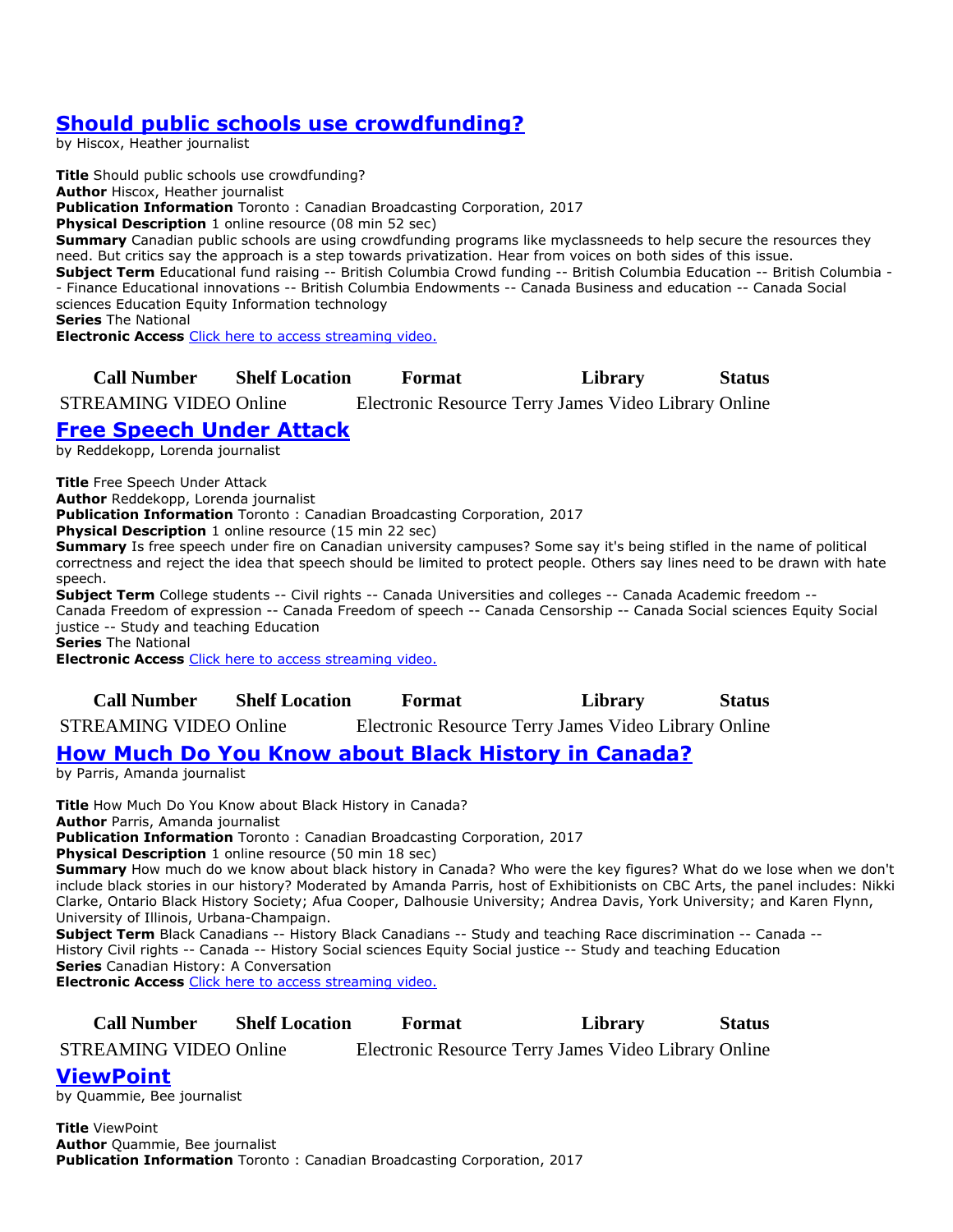# **[Should public schools use crowdfunding?](https://ug.ent.sirsidynix.net/client/en_CA/TJRtest/search/detailnonmodal/ent:$002f$002fSD_ILS$002f0$002fSD_ILS:307021/email?)**

by Hiscox, Heather journalist

**Title** Should public schools use crowdfunding? **Author** Hiscox, Heather journalist **Publication Information** Toronto : Canadian Broadcasting Corporation, 2017 **Physical Description** 1 online resource (08 min 52 sec) **Summary** Canadian public schools are using crowdfunding programs like myclassneeds to help secure the resources they need. But critics say the approach is a step towards privatization. Hear from voices on both sides of this issue. **Subject Term** Educational fund raising -- British Columbia Crowd funding -- British Columbia Education -- British Columbia - - Finance Educational innovations -- British Columbia Endowments -- Canada Business and education -- Canada Social sciences Education Equity Information technology **Series** The National

**Electronic Access** [Click here to access streaming video.](http://curio.ca/en/video/should-public-schools-use-crowdfunding-15969/)

**Call Number Shelf Location Format Library Status**

STREAMING VIDEO Online Electronic Resource Terry James Video Library Online

# **[Free Speech Under Attack](https://ug.ent.sirsidynix.net/client/en_CA/TJRtest/search/detailnonmodal/ent:$002f$002fSD_ILS$002f0$002fSD_ILS:307082/email?)**

by Reddekopp, Lorenda journalist

**Title** Free Speech Under Attack

**Author** Reddekopp, Lorenda journalist

**Publication Information** Toronto : Canadian Broadcasting Corporation, 2017

**Physical Description** 1 online resource (15 min 22 sec)

**Summary** Is free speech under fire on Canadian university campuses? Some say it's being stifled in the name of political correctness and reject the idea that speech should be limited to protect people. Others say lines need to be drawn with hate speech.

**Subject Term** College students -- Civil rights -- Canada Universities and colleges -- Canada Academic freedom -- Canada Freedom of expression -- Canada Freedom of speech -- Canada Censorship -- Canada Social sciences Equity Social justice -- Study and teaching Education

**Series** The National

**Electronic Access** [Click here to access streaming video.](http://curio.ca/en/video/free-speech-under-attack-15787/)

**Call Number Shelf Location Format Library Status**

STREAMING VIDEO Online Electronic Resource Terry James Video Library Online

# **[How Much Do You Know about Black History in Canada?](https://ug.ent.sirsidynix.net/client/en_CA/TJRtest/search/detailnonmodal/ent:$002f$002fSD_ILS$002f0$002fSD_ILS:307135/email?)**

by Parris, Amanda journalist

**Title** How Much Do You Know about Black History in Canada? **Author** Parris, Amanda journalist **Publication Information** Toronto : Canadian Broadcasting Corporation, 2017 **Physical Description** 1 online resource (50 min 18 sec)

**Summary** How much do we know about black history in Canada? Who were the key figures? What do we lose when we don't include black stories in our history? Moderated by Amanda Parris, host of Exhibitionists on CBC Arts, the panel includes: Nikki Clarke, Ontario Black History Society; Afua Cooper, Dalhousie University; Andrea Davis, York University; and Karen Flynn, University of Illinois, Urbana-Champaign.

**Subject Term** Black Canadians -- History Black Canadians -- Study and teaching Race discrimination -- Canada -- History Civil rights -- Canada -- History Social sciences Equity Social justice -- Study and teaching Education **Series** Canadian History: A Conversation **Electronic Access** [Click here to access streaming video.](http://curio.ca/en/video/how-much-do-you-know-about-black-history-in-canada-15292/)

**Call Number Shelf Location Format Library Status**

STREAMING VIDEO Online Electronic Resource Terry James Video Library Online

**[ViewPoint](https://ug.ent.sirsidynix.net/client/en_CA/TJRtest/search/detailnonmodal/ent:$002f$002fSD_ILS$002f0$002fSD_ILS:307136/email?)**

by Quammie, Bee journalist

**Title** ViewPoint **Author** Quammie, Bee journalist **Publication Information** Toronto : Canadian Broadcasting Corporation, 2017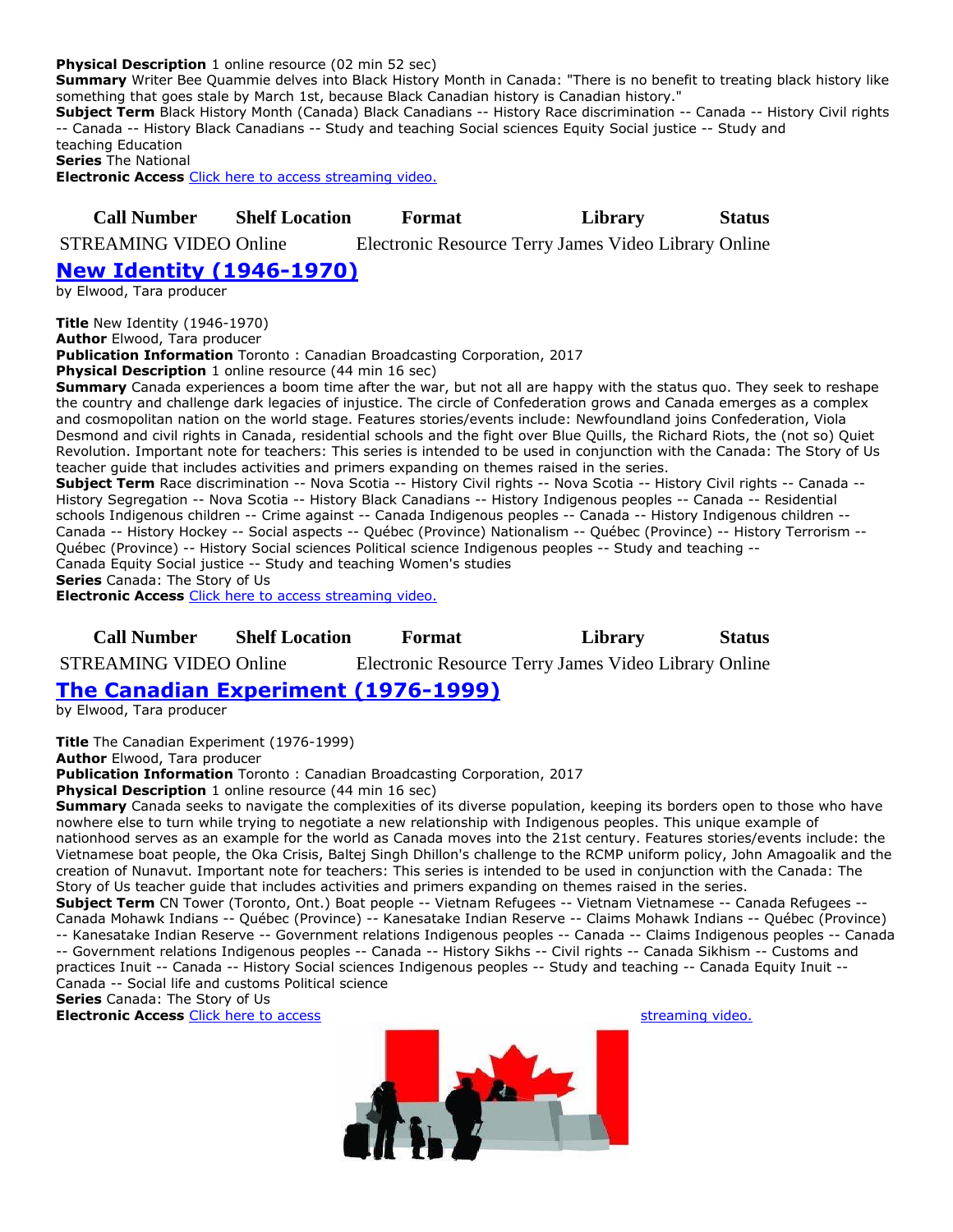#### **Physical Description** 1 online resource (02 min 52 sec)

**Summary** Writer Bee Quammie delves into Black History Month in Canada: "There is no benefit to treating black history like something that goes stale by March 1st, because Black Canadian history is Canadian history."

**Subject Term** Black History Month (Canada) Black Canadians -- History Race discrimination -- Canada -- History Civil rights -- Canada -- History Black Canadians -- Study and teaching Social sciences Equity Social justice -- Study and teaching Education

**Series** The National

**Electronic Access** [Click here to access streaming video.](http://curio.ca/en/video/viewpoint-why-its-time-for-black-history-month-to-go-15615/)

### **Call Number Shelf Location Format Library Status**

STREAMING VIDEO Online Electronic Resource Terry James Video Library Online

# **[New Identity \(1946-1970\)](https://ug.ent.sirsidynix.net/client/en_CA/TJRtest/search/detailnonmodal/ent:$002f$002fSD_ILS$002f0$002fSD_ILS:307163/email?)**

by Elwood, Tara producer

**Title** New Identity (1946-1970)

**Author** Elwood, Tara producer

**Publication Information** Toronto : Canadian Broadcasting Corporation, 2017 **Physical Description** 1 online resource (44 min 16 sec)

**Summary** Canada experiences a boom time after the war, but not all are happy with the status quo. They seek to reshape the country and challenge dark legacies of injustice. The circle of Confederation grows and Canada emerges as a complex and cosmopolitan nation on the world stage. Features stories/events include: Newfoundland joins Confederation, Viola Desmond and civil rights in Canada, residential schools and the fight over Blue Quills, the Richard Riots, the (not so) Quiet Revolution. Important note for teachers: This series is intended to be used in conjunction with the Canada: The Story of Us teacher guide that includes activities and primers expanding on themes raised in the series.

**Subject Term** Race discrimination -- Nova Scotia -- History Civil rights -- Nova Scotia -- History Civil rights -- Canada -- History Segregation -- Nova Scotia -- History Black Canadians -- History Indigenous peoples -- Canada -- Residential schools Indigenous children -- Crime against -- Canada Indigenous peoples -- Canada -- History Indigenous children -- Canada -- History Hockey -- Social aspects -- Québec (Province) Nationalism -- Québec (Province) -- History Terrorism -- Québec (Province) -- History Social sciences Political science Indigenous peoples -- Study and teaching -- Canada Equity Social justice -- Study and teaching Women's studies **Series** Canada: The Story of Us

**Electronic Access** [Click here to access streaming video.](http://curio.ca/en/video/new-identity-1946-1970-15268/)

#### **Call Number Shelf Location Format Library Status**

STREAMING VIDEO Online Electronic Resource Terry James Video Library Online

#### **[The Canadian Experiment \(1976-1999\)](https://ug.ent.sirsidynix.net/client/en_CA/TJRtest/search/detailnonmodal/ent:$002f$002fSD_ILS$002f0$002fSD_ILS:307164/email?)**

by Elwood, Tara producer

**Title** The Canadian Experiment (1976-1999)

**Author** Elwood, Tara producer

**Publication Information** Toronto : Canadian Broadcasting Corporation, 2017

**Physical Description** 1 online resource (44 min 16 sec)

**Summary** Canada seeks to navigate the complexities of its diverse population, keeping its borders open to those who have nowhere else to turn while trying to negotiate a new relationship with Indigenous peoples. This unique example of nationhood serves as an example for the world as Canada moves into the 21st century. Features stories/events include: the Vietnamese boat people, the Oka Crisis, Baltej Singh Dhillon's challenge to the RCMP uniform policy, John Amagoalik and the creation of Nunavut. Important note for teachers: This series is intended to be used in conjunction with the Canada: The Story of Us teacher guide that includes activities and primers expanding on themes raised in the series.

**Subject Term** CN Tower (Toronto, Ont.) Boat people -- Vietnam Refugees -- Vietnam Vietnamese -- Canada Refugees -- Canada Mohawk Indians -- Québec (Province) -- Kanesatake Indian Reserve -- Claims Mohawk Indians -- Québec (Province) -- Kanesatake Indian Reserve -- Government relations Indigenous peoples -- Canada -- Claims Indigenous peoples -- Canada -- Government relations Indigenous peoples -- Canada -- History Sikhs -- Civil rights -- Canada Sikhism -- Customs and practices Inuit -- Canada -- History Social sciences Indigenous peoples -- Study and teaching -- Canada Equity Inuit -- Canada -- Social life and customs Political science

**Series** Canada: The Story of Us

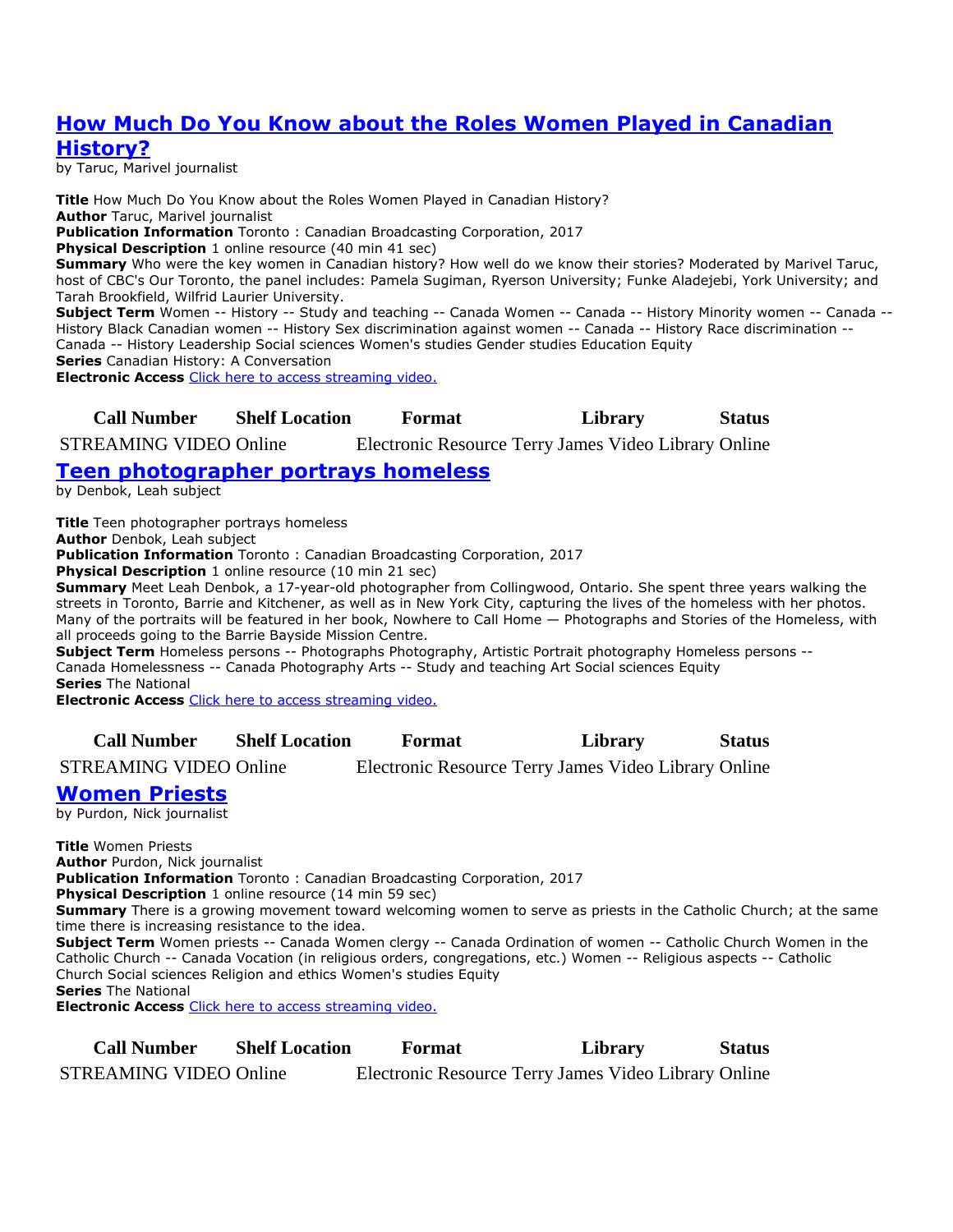## **[How Much Do You Know about the Roles Women Played in Canadian](https://ug.ent.sirsidynix.net/client/en_CA/TJRtest/search/detailnonmodal/ent:$002f$002fSD_ILS$002f0$002fSD_ILS:307166/email?)  [History?](https://ug.ent.sirsidynix.net/client/en_CA/TJRtest/search/detailnonmodal/ent:$002f$002fSD_ILS$002f0$002fSD_ILS:307166/email?)**

by Taruc, Marivel journalist

**Title** How Much Do You Know about the Roles Women Played in Canadian History? **Author** Taruc, Marivel journalist **Publication Information** Toronto : Canadian Broadcasting Corporation, 2017 **Physical Description** 1 online resource (40 min 41 sec) **Summary** Who were the key women in Canadian history? How well do we know their stories? Moderated by Marivel Taruc, host of CBC's Our Toronto, the panel includes: Pamela Sugiman, Ryerson University; Funke Aladejebi, York University; and Tarah Brookfield, Wilfrid Laurier University.

**Subject Term** Women -- History -- Study and teaching -- Canada Women -- Canada -- History Minority women -- Canada -- History Black Canadian women -- History Sex discrimination against women -- Canada -- History Race discrimination -- Canada -- History Leadership Social sciences Women's studies Gender studies Education Equity **Series** Canadian History: A Conversation

**Electronic Access** [Click here to access streaming video.](http://curio.ca/en/video/how-much-do-you-know-about-the-roles-women-played-in-canadian-history-15291/)

#### **Call Number Shelf Location Format Library Status**

STREAMING VIDEO Online Electronic Resource Terry James Video Library Online

# **[Teen photographer portrays homeless](https://ug.ent.sirsidynix.net/client/en_CA/TJRtest/search/detailnonmodal/ent:$002f$002fSD_ILS$002f0$002fSD_ILS:307178/email?)**

by Denbok, Leah subject

**Title** Teen photographer portrays homeless

**Author** Denbok, Leah subject

**Publication Information** Toronto : Canadian Broadcasting Corporation, 2017

**Physical Description** 1 online resource (10 min 21 sec)

**Summary** Meet Leah Denbok, a 17-year-old photographer from Collingwood, Ontario. She spent three years walking the streets in Toronto, Barrie and Kitchener, as well as in New York City, capturing the lives of the homeless with her photos. Many of the portraits will be featured in her book, Nowhere to Call Home — Photographs and Stories of the Homeless, with all proceeds going to the Barrie Bayside Mission Centre.

**Subject Term** Homeless persons -- Photographs Photography, Artistic Portrait photography Homeless persons -- Canada Homelessness -- Canada Photography Arts -- Study and teaching Art Social sciences Equity **Series** The National

**Electronic Access** [Click here to access streaming video.](http://curio.ca/en/video/teen-photographer-portrays-homeless-15376/)

| <b>Call Number</b> | <b>Shelf Location</b> | Format | Library | Status |
|--------------------|-----------------------|--------|---------|--------|
|--------------------|-----------------------|--------|---------|--------|

STREAMING VIDEO Online Electronic Resource Terry James Video Library Online

### **[Women Priests](https://ug.ent.sirsidynix.net/client/en_CA/TJRtest/search/detailnonmodal/ent:$002f$002fSD_ILS$002f0$002fSD_ILS:307246/email?)**

by Purdon, Nick journalist

**Title** Women Priests **Author** Purdon, Nick journalist **Publication Information** Toronto : Canadian Broadcasting Corporation, 2017 **Physical Description** 1 online resource (14 min 59 sec) **Summary** There is a growing movement toward welcoming women to serve as priests in the Catholic Church; at the same time there is increasing resistance to the idea. **Subject Term** Women priests -- Canada Women clergy -- Canada Ordination of women -- Catholic Church Women in the Catholic Church -- Canada Vocation (in religious orders, congregations, etc.) Women -- Religious aspects -- Catholic Church Social sciences Religion and ethics Women's studies Equity **Series** The National **Electronic Access** [Click here to access streaming video.](http://curio.ca/en/video/women-priests-15375/)

**Call Number Shelf Location Format Library Status**

STREAMING VIDEO Online Electronic Resource Terry James Video Library Online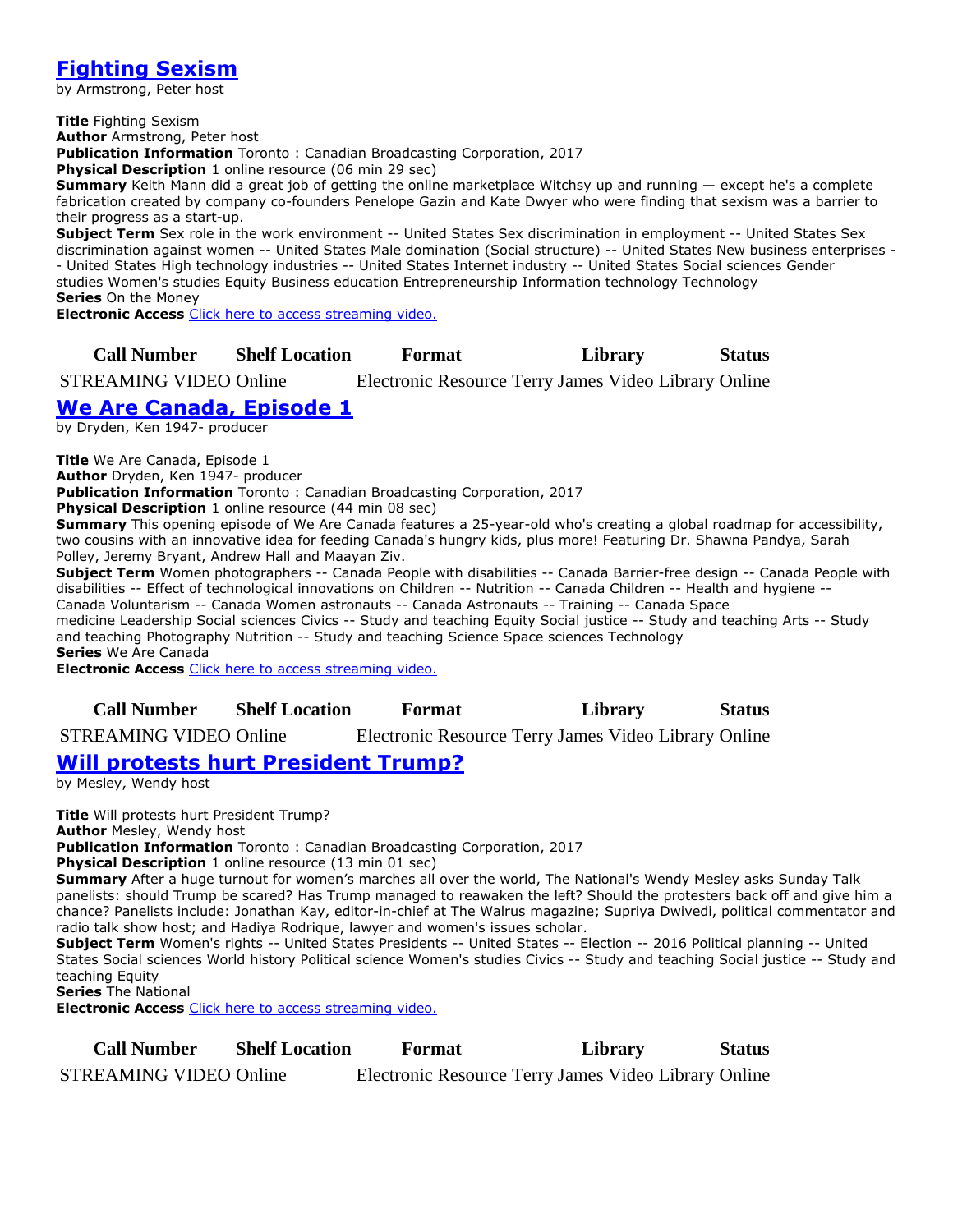# **[Fighting Sexism](https://ug.ent.sirsidynix.net/client/en_CA/TJRtest/search/detailnonmodal/ent:$002f$002fSD_ILS$002f0$002fSD_ILS:307247/email?)**

by Armstrong, Peter host

**Title** Fighting Sexism

**Author** Armstrong, Peter host

**Publication Information** Toronto : Canadian Broadcasting Corporation, 2017

**Physical Description** 1 online resource (06 min 29 sec)

**Summary** Keith Mann did a great job of getting the online marketplace Witchsy up and running — except he's a complete fabrication created by company co-founders Penelope Gazin and Kate Dwyer who were finding that sexism was a barrier to their progress as a start-up.

**Subject Term** Sex role in the work environment -- United States Sex discrimination in employment -- United States Sex discrimination against women -- United States Male domination (Social structure) -- United States New business enterprises - - United States High technology industries -- United States Internet industry -- United States Social sciences Gender studies Women's studies Equity Business education Entrepreneurship Information technology Technology **Series** On the Money

**Electronic Access** [Click here to access streaming video.](http://curio.ca/en/video/fighting-sexism-15345/)

### **Call Number Shelf Location Format Library Status**

STREAMING VIDEO Online Electronic Resource Terry James Video Library Online

## **[We Are Canada, Episode 1](https://ug.ent.sirsidynix.net/client/en_CA/TJRtest/search/detailnonmodal/ent:$002f$002fSD_ILS$002f0$002fSD_ILS:307270/email?)**

by Dryden, Ken 1947- producer

**Title** We Are Canada, Episode 1

**Author** Dryden, Ken 1947- producer

**Publication Information** Toronto : Canadian Broadcasting Corporation, 2017

**Physical Description** 1 online resource (44 min 08 sec)

**Summary** This opening episode of We Are Canada features a 25-year-old who's creating a global roadmap for accessibility, two cousins with an innovative idea for feeding Canada's hungry kids, plus more! Featuring Dr. Shawna Pandya, Sarah Polley, Jeremy Bryant, Andrew Hall and Maayan Ziv.

**Subject Term** Women photographers -- Canada People with disabilities -- Canada Barrier-free design -- Canada People with disabilities -- Effect of technological innovations on Children -- Nutrition -- Canada Children -- Health and hygiene -- Canada Voluntarism -- Canada Women astronauts -- Canada Astronauts -- Training -- Canada Space medicine Leadership Social sciences Civics -- Study and teaching Equity Social justice -- Study and teaching Arts -- Study and teaching Photography Nutrition -- Study and teaching Science Space sciences Technology

**Series** We Are Canada

**Electronic Access** [Click here to access streaming video.](http://curio.ca/en/video/we-are-canada-episode-1-14545/)

| <b>Call Number</b> | <b>Shelf Location</b> | Format | Library | <b>Status</b> |
|--------------------|-----------------------|--------|---------|---------------|
|--------------------|-----------------------|--------|---------|---------------|

STREAMING VIDEO Online Electronic Resource Terry James Video Library Online

# **[Will protests hurt President Trump?](https://ug.ent.sirsidynix.net/client/en_CA/TJRtest/search/detailnonmodal/ent:$002f$002fSD_ILS$002f0$002fSD_ILS:307356/email?)**

by Mesley, Wendy host

**Title** Will protests hurt President Trump? **Author** Mesley, Wendy host

**Publication Information** Toronto : Canadian Broadcasting Corporation, 2017

**Physical Description** 1 online resource (13 min 01 sec)

**Summary** After a huge turnout for women's marches all over the world, The National's Wendy Mesley asks Sunday Talk panelists: should Trump be scared? Has Trump managed to reawaken the left? Should the protesters back off and give him a chance? Panelists include: Jonathan Kay, editor-in-chief at The Walrus magazine; Supriya Dwivedi, political commentator and radio talk show host; and Hadiya Rodrique, lawyer and women's issues scholar.

**Subject Term** Women's rights -- United States Presidents -- United States -- Election -- 2016 Political planning -- United States Social sciences World history Political science Women's studies Civics -- Study and teaching Social justice -- Study and teaching Equity

**Series** The National

| <b>Call Number</b>            | <b>Shelf Location</b> | Format                                               | Library | <b>Status</b> |
|-------------------------------|-----------------------|------------------------------------------------------|---------|---------------|
| <b>STREAMING VIDEO Online</b> |                       | Electronic Resource Terry James Video Library Online |         |               |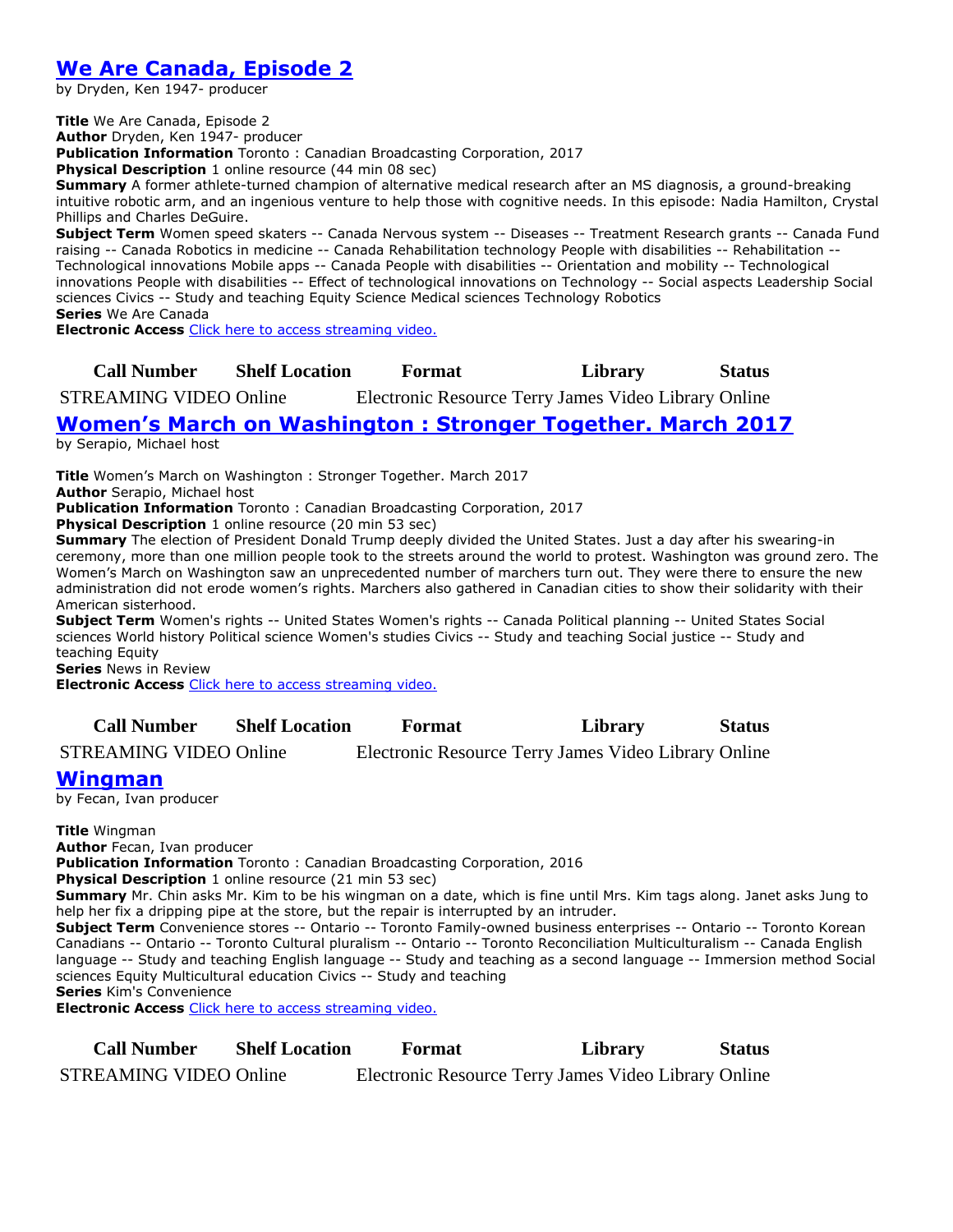# **[We Are Canada, Episode 2](https://ug.ent.sirsidynix.net/client/en_CA/TJRtest/search/detailnonmodal/ent:$002f$002fSD_ILS$002f0$002fSD_ILS:307395/email?)**

by Dryden, Ken 1947- producer

**Title** We Are Canada, Episode 2

**Author** Dryden, Ken 1947- producer

**Publication Information** Toronto : Canadian Broadcasting Corporation, 2017

**Physical Description** 1 online resource (44 min 08 sec)

**Summary** A former athlete-turned champion of alternative medical research after an MS diagnosis, a ground-breaking intuitive robotic arm, and an ingenious venture to help those with cognitive needs. In this episode: Nadia Hamilton, Crystal Phillips and Charles DeGuire.

**Subject Term** Women speed skaters -- Canada Nervous system -- Diseases -- Treatment Research grants -- Canada Fund raising -- Canada Robotics in medicine -- Canada Rehabilitation technology People with disabilities -- Rehabilitation -- Technological innovations Mobile apps -- Canada People with disabilities -- Orientation and mobility -- Technological innovations People with disabilities -- Effect of technological innovations on Technology -- Social aspects Leadership Social sciences Civics -- Study and teaching Equity Science Medical sciences Technology Robotics **Series** We Are Canada

**Electronic Access** [Click here to access streaming video.](http://curio.ca/en/video/we-are-canada-episode-2-14551/)

#### **Call Number Shelf Location Format Library Status**

STREAMING VIDEO Online Electronic Resource Terry James Video Library Online

### **[Women's March on Washington : Stronger Together. March 2017](https://ug.ent.sirsidynix.net/client/en_CA/TJRtest/search/detailnonmodal/ent:$002f$002fSD_ILS$002f0$002fSD_ILS:312991/email?)**

by Serapio, Michael host

**Title** Women's March on Washington : Stronger Together. March 2017

**Author** Serapio, Michael host

**Publication Information** Toronto : Canadian Broadcasting Corporation, 2017

**Physical Description** 1 online resource (20 min 53 sec)

**Summary** The election of President Donald Trump deeply divided the United States. Just a day after his swearing-in ceremony, more than one million people took to the streets around the world to protest. Washington was ground zero. The Women's March on Washington saw an unprecedented number of marchers turn out. They were there to ensure the new administration did not erode women's rights. Marchers also gathered in Canadian cities to show their solidarity with their American sisterhood.

**Subject Term** Women's rights -- United States Women's rights -- Canada Political planning -- United States Social sciences World history Political science Women's studies Civics -- Study and teaching Social justice -- Study and teaching Equity

**Series** News in Review

**Electronic Access** [Click here to access streaming video.](http://curio.ca/en/video/womens-march-on-washington-stronger-together-14115/)

**Call Number Shelf Location Format Library Status**

STREAMING VIDEO Online Electronic Resource Terry James Video Library Online

#### **[Wingman](https://ug.ent.sirsidynix.net/client/en_CA/TJRtest/search/detailnonmodal/ent:$002f$002fSD_ILS$002f0$002fSD_ILS:307560/email?)**

by Fecan, Ivan producer

**Title** Wingman

**Author** Fecan, Ivan producer

**Publication Information** Toronto : Canadian Broadcasting Corporation, 2016

**Physical Description** 1 online resource (21 min 53 sec)

**Summary** Mr. Chin asks Mr. Kim to be his wingman on a date, which is fine until Mrs. Kim tags along. Janet asks Jung to help her fix a dripping pipe at the store, but the repair is interrupted by an intruder.

**Subject Term** Convenience stores -- Ontario -- Toronto Family-owned business enterprises -- Ontario -- Toronto Korean Canadians -- Ontario -- Toronto Cultural pluralism -- Ontario -- Toronto Reconciliation Multiculturalism -- Canada English language -- Study and teaching English language -- Study and teaching as a second language -- Immersion method Social sciences Equity Multicultural education Civics -- Study and teaching

**Series** Kim's Convenience

| <b>Call Number</b>            | <b>Shelf Location</b> | Format                                               | Library | <b>Status</b> |
|-------------------------------|-----------------------|------------------------------------------------------|---------|---------------|
| <b>STREAMING VIDEO Online</b> |                       | Electronic Resource Terry James Video Library Online |         |               |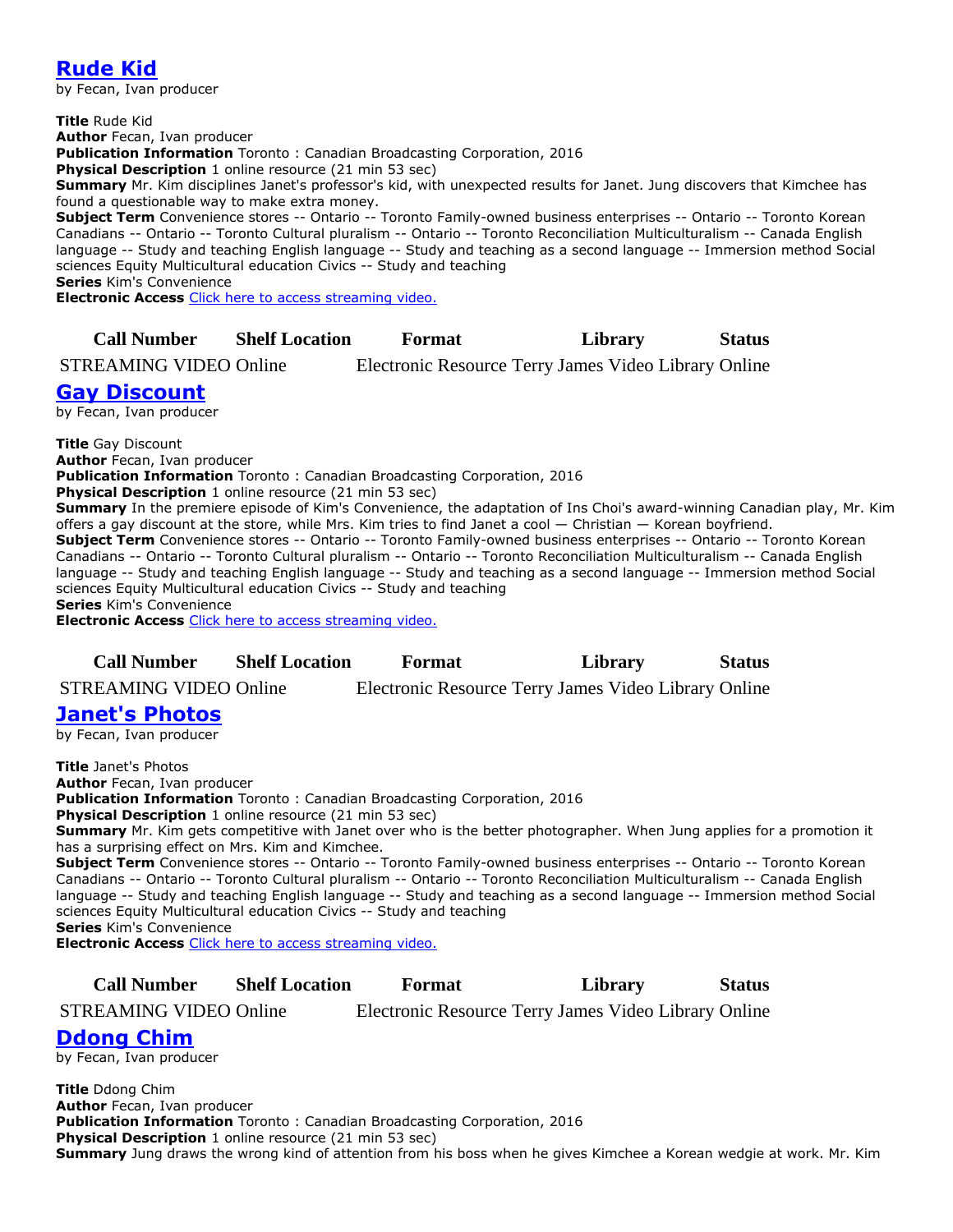# **[Rude Kid](https://ug.ent.sirsidynix.net/client/en_CA/TJRtest/search/detailnonmodal/ent:$002f$002fSD_ILS$002f0$002fSD_ILS:307561/email?)**

by Fecan, Ivan producer

**Title** Rude Kid **Author** Fecan, Ivan producer **Publication Information** Toronto : Canadian Broadcasting Corporation, 2016 **Physical Description** 1 online resource (21 min 53 sec) **Summary** Mr. Kim disciplines Janet's professor's kid, with unexpected results for Janet. Jung discovers that Kimchee has found a questionable way to make extra money. **Subject Term** Convenience stores -- Ontario -- Toronto Family-owned business enterprises -- Ontario -- Toronto Korean Canadians -- Ontario -- Toronto Cultural pluralism -- Ontario -- Toronto Reconciliation Multiculturalism -- Canada English

language -- Study and teaching English language -- Study and teaching as a second language -- Immersion method Social sciences Equity Multicultural education Civics -- Study and teaching **Series** Kim's Convenience

**Electronic Access** [Click here to access streaming video.](http://curio.ca/en/video/rude-kid-12702/)

### **Call Number Shelf Location Format Library Status**

STREAMING VIDEO Online Electronic Resource Terry James Video Library Online

### **[Gay Discount](https://ug.ent.sirsidynix.net/client/en_CA/TJRtest/search/detailnonmodal/ent:$002f$002fSD_ILS$002f0$002fSD_ILS:307562/email?)**

by Fecan, Ivan producer

**Title** Gay Discount

**Author** Fecan, Ivan producer

**Publication Information** Toronto : Canadian Broadcasting Corporation, 2016

**Physical Description** 1 online resource (21 min 53 sec)

**Summary** In the premiere episode of Kim's Convenience, the adaptation of Ins Choi's award-winning Canadian play, Mr. Kim offers a gay discount at the store, while Mrs. Kim tries to find Janet a cool — Christian — Korean boyfriend. **Subject Term** Convenience stores -- Ontario -- Toronto Family-owned business enterprises -- Ontario -- Toronto Korean Canadians -- Ontario -- Toronto Cultural pluralism -- Ontario -- Toronto Reconciliation Multiculturalism -- Canada English language -- Study and teaching English language -- Study and teaching as a second language -- Immersion method Social sciences Equity Multicultural education Civics -- Study and teaching **Series** Kim's Convenience

**Electronic Access** [Click here to access streaming video.](http://curio.ca/en/video/gay-discount-12415/)

| <b>Call Number</b> | <b>Shelf Location</b> | Format | Library | <b>Status</b> |
|--------------------|-----------------------|--------|---------|---------------|
|--------------------|-----------------------|--------|---------|---------------|

STREAMING VIDEO Online Electronic Resource Terry James Video Library Online

#### **[Janet's Photos](https://ug.ent.sirsidynix.net/client/en_CA/TJRtest/search/detailnonmodal/ent:$002f$002fSD_ILS$002f0$002fSD_ILS:307563/email?)**

by Fecan, Ivan producer

**Title** Janet's Photos **Author** Fecan, Ivan producer **Publication Information** Toronto : Canadian Broadcasting Corporation, 2016 **Physical Description** 1 online resource (21 min 53 sec) **Summary** Mr. Kim gets competitive with Janet over who is the better photographer. When Jung applies for a promotion it has a surprising effect on Mrs. Kim and Kimchee. **Subject Term** Convenience stores -- Ontario -- Toronto Family-owned business enterprises -- Ontario -- Toronto Korean Canadians -- Ontario -- Toronto Cultural pluralism -- Ontario -- Toronto Reconciliation Multiculturalism -- Canada English language -- Study and teaching English language -- Study and teaching as a second language -- Immersion method Social sciences Equity Multicultural education Civics -- Study and teaching **Series** Kim's Convenience **Electronic Access** [Click here to access streaming video.](http://curio.ca/en/video/janets-photos-12416/)

**Call Number Shelf Location Format Library Status**

STREAMING VIDEO Online Electronic Resource Terry James Video Library Online

**[Ddong Chim](https://ug.ent.sirsidynix.net/client/en_CA/TJRtest/search/detailnonmodal/ent:$002f$002fSD_ILS$002f0$002fSD_ILS:307564/email?)**

by Fecan, Ivan producer

**Title** Ddong Chim **Author** Fecan, Ivan producer **Publication Information** Toronto : Canadian Broadcasting Corporation, 2016 **Physical Description** 1 online resource (21 min 53 sec) **Summary** Jung draws the wrong kind of attention from his boss when he gives Kimchee a Korean wedgie at work. Mr. Kim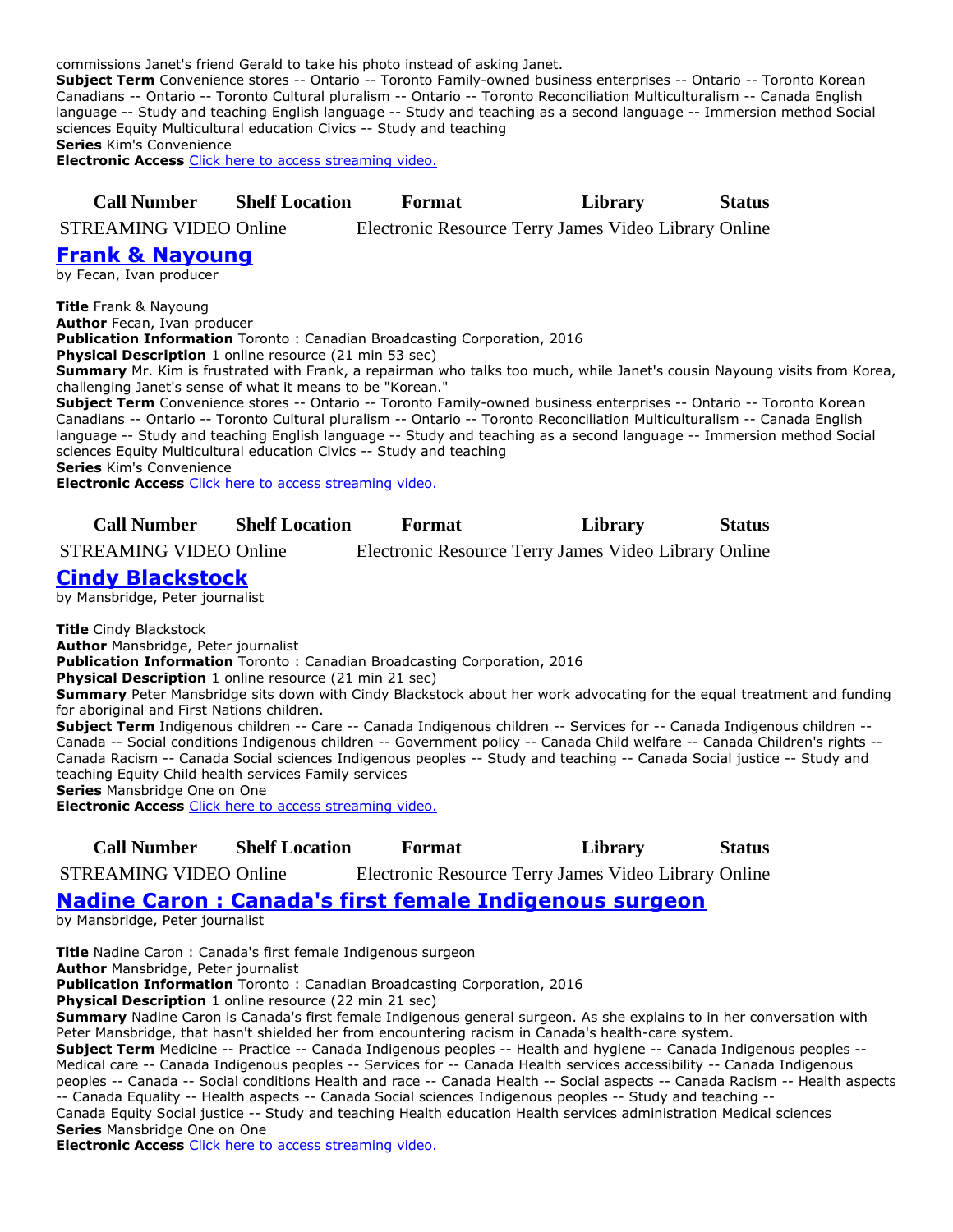commissions Janet's friend Gerald to take his photo instead of asking Janet.

**Subject Term** Convenience stores -- Ontario -- Toronto Family-owned business enterprises -- Ontario -- Toronto Korean Canadians -- Ontario -- Toronto Cultural pluralism -- Ontario -- Toronto Reconciliation Multiculturalism -- Canada English language -- Study and teaching English language -- Study and teaching as a second language -- Immersion method Social sciences Equity Multicultural education Civics -- Study and teaching

**Series** Kim's Convenience

**Electronic Access** [Click here to access streaming video.](http://curio.ca/en/video/ddong-chim-12417/)

**Call Number Shelf Location Format Library Status**

STREAMING VIDEO Online Electronic Resource Terry James Video Library Online

#### **[Frank & Nayoung](https://ug.ent.sirsidynix.net/client/en_CA/TJRtest/search/detailnonmodal/ent:$002f$002fSD_ILS$002f0$002fSD_ILS:307565/email?)**

by Fecan, Ivan producer

**Title** Frank & Nayoung

**Author** Fecan, Ivan producer

**Publication Information** Toronto : Canadian Broadcasting Corporation, 2016

**Physical Description** 1 online resource (21 min 53 sec)

**Summary** Mr. Kim is frustrated with Frank, a repairman who talks too much, while Janet's cousin Nayoung visits from Korea, challenging Janet's sense of what it means to be "Korean."

**Subject Term** Convenience stores -- Ontario -- Toronto Family-owned business enterprises -- Ontario -- Toronto Korean Canadians -- Ontario -- Toronto Cultural pluralism -- Ontario -- Toronto Reconciliation Multiculturalism -- Canada English language -- Study and teaching English language -- Study and teaching as a second language -- Immersion method Social sciences Equity Multicultural education Civics -- Study and teaching

**Series** Kim's Convenience

**Electronic Access** [Click here to access streaming video.](http://curio.ca/en/video/frank-nayoung-12418/)

#### **Call Number Shelf Location Format Library Status**

STREAMING VIDEO Online Electronic Resource Terry James Video Library Online

## **[Cindy Blackstock](https://ug.ent.sirsidynix.net/client/en_CA/TJRtest/search/detailnonmodal/ent:$002f$002fSD_ILS$002f0$002fSD_ILS:307628/email?)**

by Mansbridge, Peter journalist

**Title** Cindy Blackstock

**Author** Mansbridge, Peter journalist

**Publication Information** Toronto : Canadian Broadcasting Corporation, 2016

**Physical Description** 1 online resource (21 min 21 sec)

**Summary** Peter Mansbridge sits down with Cindy Blackstock about her work advocating for the equal treatment and funding for aboriginal and First Nations children.

**Subject Term** Indigenous children -- Care -- Canada Indigenous children -- Services for -- Canada Indigenous children -- Canada -- Social conditions Indigenous children -- Government policy -- Canada Child welfare -- Canada Children's rights -- Canada Racism -- Canada Social sciences Indigenous peoples -- Study and teaching -- Canada Social justice -- Study and teaching Equity Child health services Family services **Series** Mansbridge One on One

**Electronic Access** [Click here to access streaming video.](http://curio.ca/en/video/cindy-blackstock-8500/)

**Call Number Shelf Location Format Library Status**

STREAMING VIDEO Online Electronic Resource Terry James Video Library Online

## **[Nadine Caron : Canada's first female Indigenous surgeon](https://ug.ent.sirsidynix.net/client/en_CA/TJRtest/search/detailnonmodal/ent:$002f$002fSD_ILS$002f0$002fSD_ILS:307630/email?)**

by Mansbridge, Peter journalist

**Title** Nadine Caron : Canada's first female Indigenous surgeon

**Author** Mansbridge, Peter journalist

**Publication Information** Toronto : Canadian Broadcasting Corporation, 2016

**Physical Description** 1 online resource (22 min 21 sec)

**Summary** Nadine Caron is Canada's first female Indigenous general surgeon. As she explains to in her conversation with Peter Mansbridge, that hasn't shielded her from encountering racism in Canada's health-care system.

**Subject Term** Medicine -- Practice -- Canada Indigenous peoples -- Health and hygiene -- Canada Indigenous peoples -- Medical care -- Canada Indigenous peoples -- Services for -- Canada Health services accessibility -- Canada Indigenous peoples -- Canada -- Social conditions Health and race -- Canada Health -- Social aspects -- Canada Racism -- Health aspects -- Canada Equality -- Health aspects -- Canada Social sciences Indigenous peoples -- Study and teaching -- Canada Equity Social justice -- Study and teaching Health education Health services administration Medical sciences **Series** Mansbridge One on One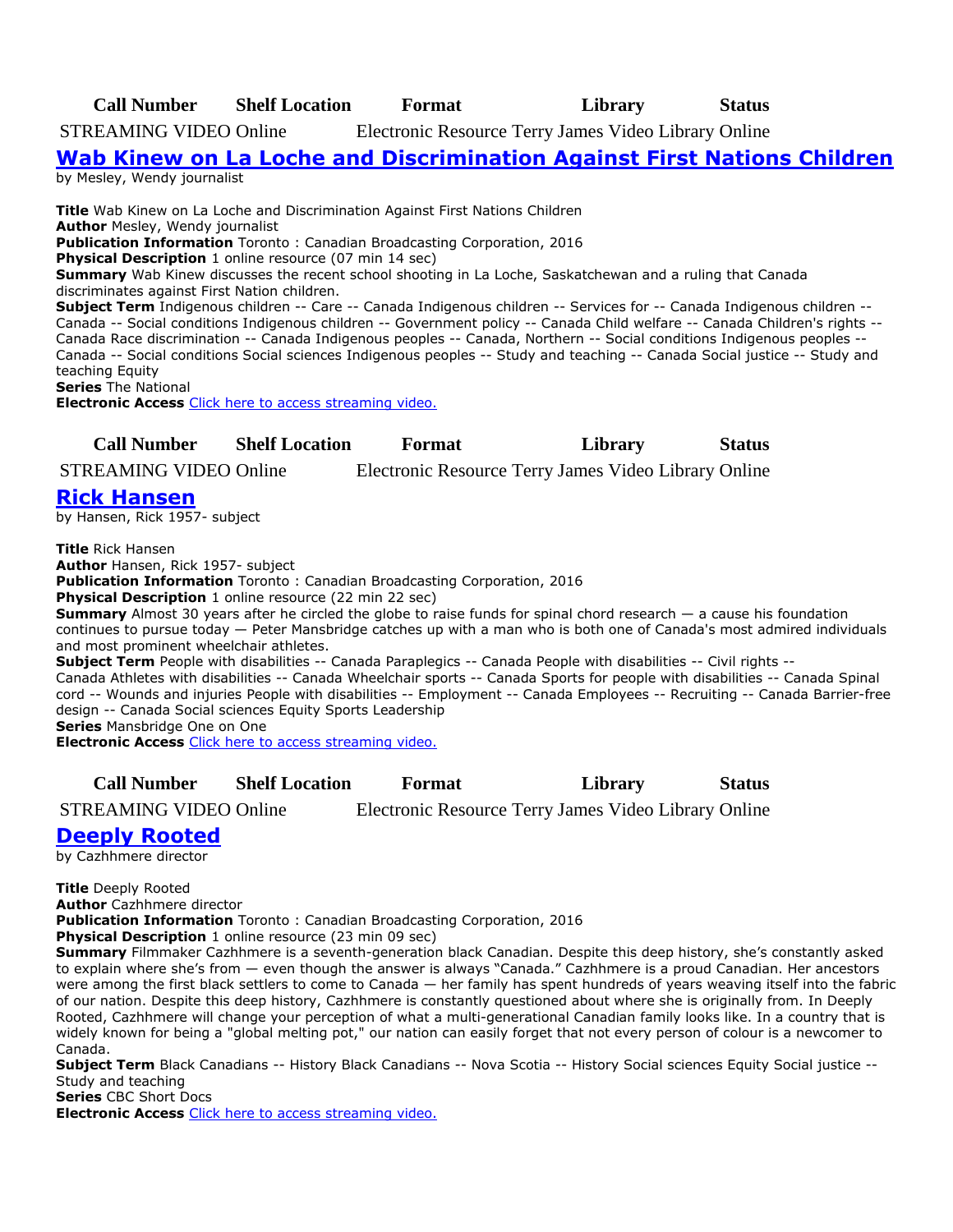**Call Number Shelf Location Format Library Status**

STREAMING VIDEO Online Electronic Resource Terry James Video Library Online

**Wab Kinew on La Loche [and Discrimination Against First Nations Children](https://ug.ent.sirsidynix.net/client/en_CA/TJRtest/search/detailnonmodal/ent:$002f$002fSD_ILS$002f0$002fSD_ILS:307645/email?)**

by Mesley, Wendy journalist

**Title** Wab Kinew on La Loche and Discrimination Against First Nations Children **Author** Mesley, Wendy journalist **Publication Information** Toronto : Canadian Broadcasting Corporation, 2016 **Physical Description** 1 online resource (07 min 14 sec) **Summary** Wab Kinew discusses the recent school shooting in La Loche, Saskatchewan and a ruling that Canada discriminates against First Nation children. **Subject Term** Indigenous children -- Care -- Canada Indigenous children -- Services for -- Canada Indigenous children -- Canada -- Social conditions Indigenous children -- Government policy -- Canada Child welfare -- Canada Children's rights -- Canada Race discrimination -- Canada Indigenous peoples -- Canada, Northern -- Social conditions Indigenous peoples -- Canada -- Social conditions Social sciences Indigenous peoples -- Study and teaching -- Canada Social justice -- Study and teaching Equity **Series** The National

**Electronic Access** [Click here to access streaming video.](http://curio.ca/en/video/wab-kinew-on-la-loche-and-discrimination-against-first-nations-children-15296/)

| <b>Call Number</b> | <b>Shelf Location</b> | Format | Library | <b>Status</b> |
|--------------------|-----------------------|--------|---------|---------------|
|--------------------|-----------------------|--------|---------|---------------|

STREAMING VIDEO Online Electronic Resource Terry James Video Library Online

# **[Rick Hansen](https://ug.ent.sirsidynix.net/client/en_CA/TJRtest/search/detailnonmodal/ent:$002f$002fSD_ILS$002f0$002fSD_ILS:307657/email?)**

by Hansen, Rick 1957- subject

**Title** Rick Hansen

**Author** Hansen, Rick 1957- subject

**Publication Information** Toronto : Canadian Broadcasting Corporation, 2016

**Physical Description** 1 online resource (22 min 22 sec)

**Summary** Almost 30 years after he circled the globe to raise funds for spinal chord research — a cause his foundation continues to pursue today — Peter Mansbridge catches up with a man who is both one of Canada's most admired individuals and most prominent wheelchair athletes.

**Subject Term** People with disabilities -- Canada Paraplegics -- Canada People with disabilities -- Civil rights -- Canada Athletes with disabilities -- Canada Wheelchair sports -- Canada Sports for people with disabilities -- Canada Spinal cord -- Wounds and injuries People with disabilities -- Employment -- Canada Employees -- Recruiting -- Canada Barrier-free design -- Canada Social sciences Equity Sports Leadership

**Series** Mansbridge One on One

**Electronic Access** [Click here to access streaming video.](http://curio.ca/en/video/rick-hansen-12937/)

**Call Number Shelf Location Format Library Status**

STREAMING VIDEO Online Electronic Resource Terry James Video Library Online

# **[Deeply Rooted](https://ug.ent.sirsidynix.net/client/en_CA/TJRtest/search/detailnonmodal/ent:$002f$002fSD_ILS$002f0$002fSD_ILS:307681/email?)**

by Cazhhmere director

**Title** Deeply Rooted **Author** Cazhhmere director **Publication Information** Toronto : Canadian Broadcasting Corporation, 2016 **Physical Description** 1 online resource (23 min 09 sec) **Summary** Filmmaker Cazhhmere is a seventh-generation black Canadian. Despite this deep history, she's constantly asked

to explain where she's from — even though the answer is always "Canada." Cazhhmere is a proud Canadian. Her ancestors were among the first black settlers to come to Canada — her family has spent hundreds of years weaving itself into the fabric of our nation. Despite this deep history, Cazhhmere is constantly questioned about where she is originally from. In Deeply Rooted, Cazhhmere will change your perception of what a multi-generational Canadian family looks like. In a country that is widely known for being a "global melting pot," our nation can easily forget that not every person of colour is a newcomer to Canada.

**Subject Term** Black Canadians -- History Black Canadians -- Nova Scotia -- History Social sciences Equity Social justice -- Study and teaching

**Series** CBC Short Docs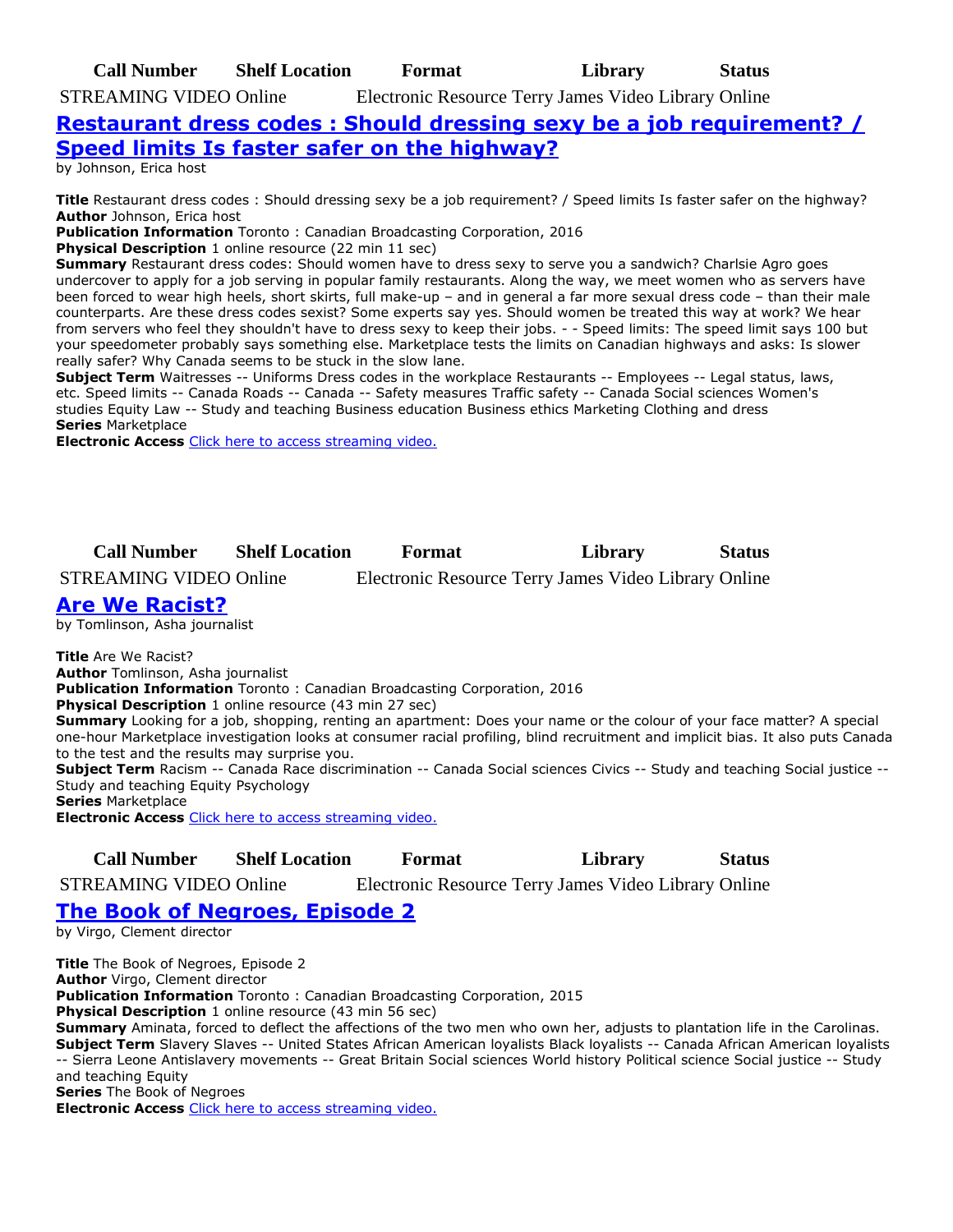**Call Number Shelf Location Format Library Status** STREAMING VIDEO Online Electronic Resource Terry James Video Library Online

# **[Restaurant dress codes : Should dressing sexy be a job requirement? /](https://ug.ent.sirsidynix.net/client/en_CA/TJRtest/search/detailnonmodal/ent:$002f$002fSD_ILS$002f0$002fSD_ILS:307849/email?)  [Speed limits Is faster safer on the highway?](https://ug.ent.sirsidynix.net/client/en_CA/TJRtest/search/detailnonmodal/ent:$002f$002fSD_ILS$002f0$002fSD_ILS:307849/email?)**

by Johnson, Erica host

**Title** Restaurant dress codes : Should dressing sexy be a job requirement? / Speed limits Is faster safer on the highway? **Author** Johnson, Erica host

**Publication Information** Toronto : Canadian Broadcasting Corporation, 2016

**Physical Description** 1 online resource (22 min 11 sec)

**Summary** Restaurant dress codes: Should women have to dress sexy to serve you a sandwich? Charlsie Agro goes undercover to apply for a job serving in popular family restaurants. Along the way, we meet women who as servers have been forced to wear high heels, short skirts, full make-up – and in general a far more sexual dress code – than their male counterparts. Are these dress codes sexist? Some experts say yes. Should women be treated this way at work? We hear from servers who feel they shouldn't have to dress sexy to keep their jobs. - - Speed limits: The speed limit says 100 but your speedometer probably says something else. Marketplace tests the limits on Canadian highways and asks: Is slower really safer? Why Canada seems to be stuck in the slow lane.

**Subject Term** Waitresses -- Uniforms Dress codes in the workplace Restaurants -- Employees -- Legal status, laws, etc. Speed limits -- Canada Roads -- Canada -- Safety measures Traffic safety -- Canada Social sciences Women's studies Equity Law -- Study and teaching Business education Business ethics Marketing Clothing and dress **Series** Marketplace

**Electronic Access** [Click here to access streaming video.](http://curio.ca/en/video/restaurant-dress-codes-should-dressing-sexy-be-a-job-requirement-speed-limits-is-faster-safer-on-the-highway-9657/)

**Call Number Shelf Location Format Library Status**

STREAMING VIDEO Online Electronic Resource Terry James Video Library Online

# **[Are We Racist?](https://ug.ent.sirsidynix.net/client/en_CA/TJRtest/search/detailnonmodal/ent:$002f$002fSD_ILS$002f0$002fSD_ILS:308439/email?)**

by Tomlinson, Asha journalist

**Title** Are We Racist?

**Author** Tomlinson, Asha journalist **Publication Information** Toronto : Canadian Broadcasting Corporation, 2016

**Physical Description** 1 online resource (43 min 27 sec)

**Summary** Looking for a job, shopping, renting an apartment: Does your name or the colour of your face matter? A special one-hour Marketplace investigation looks at consumer racial profiling, blind recruitment and implicit bias. It also puts Canada to the test and the results may surprise you.

**Subject Term** Racism -- Canada Race discrimination -- Canada Social sciences Civics -- Study and teaching Social justice -- Study and teaching Equity Psychology

**Series** Marketplace

**Electronic Access** [Click here to access streaming video.](http://curio.ca/en/video/are-we-racist-9658/)

**Call Number Shelf Location Format Library Status**

STREAMING VIDEO Online Electronic Resource Terry James Video Library Online

# **[The Book of Negroes, Episode 2](https://ug.ent.sirsidynix.net/client/en_CA/TJRtest/search/detailnonmodal/ent:$002f$002fSD_ILS$002f0$002fSD_ILS:308714/email?)**

by Virgo, Clement director

**Title** The Book of Negroes, Episode 2 **Author** Virgo, Clement director **Publication Information** Toronto : Canadian Broadcasting Corporation, 2015 **Physical Description** 1 online resource (43 min 56 sec) **Summary** Aminata, forced to deflect the affections of the two men who own her, adjusts to plantation life in the Carolinas. **Subject Term** Slavery Slaves -- United States African American loyalists Black loyalists -- Canada African American loyalists -- Sierra Leone Antislavery movements -- Great Britain Social sciences World history Political science Social justice -- Study and teaching Equity **Series** The Book of Negroes **Electronic Access** [Click here to access streaming video.](http://curio.ca/en/video/the-book-of-negroes-episode-2-5192/)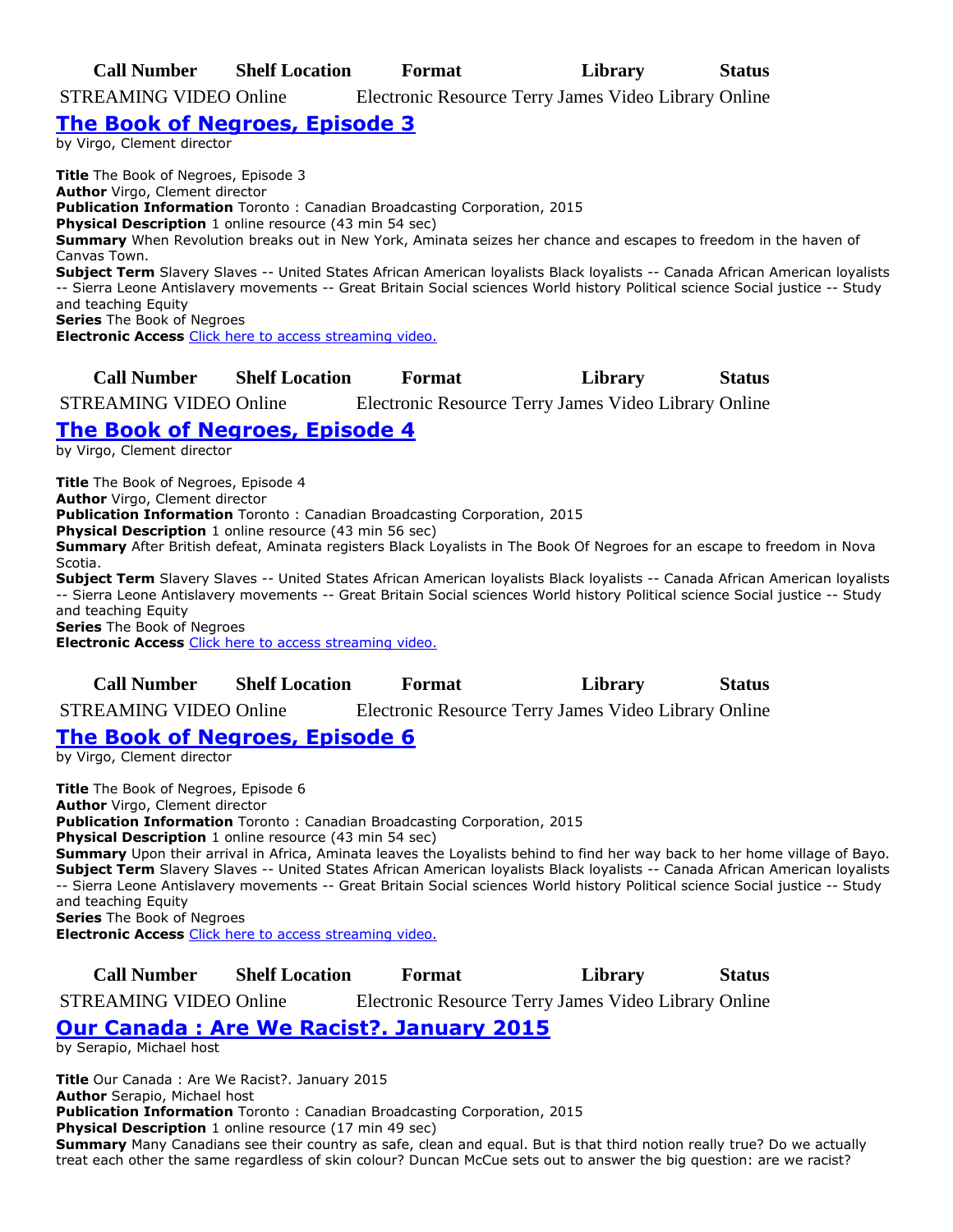**Call Number Shelf Location Format Library Status**

STREAMING VIDEO Online Electronic Resource Terry James Video Library Online

### **[The Book of Negroes, Episode 3](https://ug.ent.sirsidynix.net/client/en_CA/TJRtest/search/detailnonmodal/ent:$002f$002fSD_ILS$002f0$002fSD_ILS:308715/email?)**

by Virgo, Clement director

**Title** The Book of Negroes, Episode 3 **Author** Virgo, Clement director **Publication Information** Toronto : Canadian Broadcasting Corporation, 2015 **Physical Description** 1 online resource (43 min 54 sec) **Summary** When Revolution breaks out in New York, Aminata seizes her chance and escapes to freedom in the haven of Canvas Town. **Subject Term** Slavery Slaves -- United States African American loyalists Black loyalists -- Canada African American loyalists -- Sierra Leone Antislavery movements -- Great Britain Social sciences World history Political science Social justice -- Study and teaching Equity **Series** The Book of Negroes **Electronic Access** [Click here to access streaming video.](http://curio.ca/en/video/the-book-of-negroes-episode-3-5193/)

**Call Number Shelf Location Format Library Status**

STREAMING VIDEO Online Electronic Resource Terry James Video Library Online

# **[The Book of Negroes, Episode 4](https://ug.ent.sirsidynix.net/client/en_CA/TJRtest/search/detailnonmodal/ent:$002f$002fSD_ILS$002f0$002fSD_ILS:308716/email?)**

by Virgo, Clement director

**Title** The Book of Negroes, Episode 4 **Author** Virgo, Clement director **Publication Information** Toronto : Canadian Broadcasting Corporation, 2015 **Physical Description** 1 online resource (43 min 56 sec) **Summary** After British defeat, Aminata registers Black Loyalists in The Book Of Negroes for an escape to freedom in Nova Scotia. **Subject Term** Slavery Slaves -- United States African American loyalists Black loyalists -- Canada African American loyalists -- Sierra Leone Antislavery movements -- Great Britain Social sciences World history Political science Social justice -- Study and teaching Equity **Series** The Book of Negroes **Electronic Access** [Click here to access streaming video.](http://curio.ca/en/video/the-book-of-negroes-episode-4-5291/)

**Call Number Shelf Location Format Library Status** STREAMING VIDEO Online Electronic Resource Terry James Video Library Online

# **[The Book of Negroes, Episode 6](https://ug.ent.sirsidynix.net/client/en_CA/TJRtest/search/detailnonmodal/ent:$002f$002fSD_ILS$002f0$002fSD_ILS:308718/email?)**

by Virgo, Clement director

**Title** The Book of Negroes, Episode 6 **Author** Virgo, Clement director **Publication Information** Toronto : Canadian Broadcasting Corporation, 2015 **Physical Description** 1 online resource (43 min 54 sec) **Summary** Upon their arrival in Africa, Aminata leaves the Loyalists behind to find her way back to her home village of Bayo. **Subject Term** Slavery Slaves -- United States African American loyalists Black loyalists -- Canada African American loyalists -- Sierra Leone Antislavery movements -- Great Britain Social sciences World history Political science Social justice -- Study and teaching Equity **Series** The Book of Negroes **Electronic Access** [Click here to access streaming video.](http://curio.ca/en/video/the-book-of-negroes-episode-6-5293/)

**Call Number Shelf Location Format Library Status**

STREAMING VIDEO Online Electronic Resource Terry James Video Library Online

# **[Our Canada : Are We Racist?. January 2015](https://ug.ent.sirsidynix.net/client/en_CA/TJRtest/search/detailnonmodal/ent:$002f$002fSD_ILS$002f0$002fSD_ILS:313055/email?)**

by Serapio, Michael host

**Title** Our Canada : Are We Racist?. January 2015

**Author** Serapio, Michael host

**Publication Information** Toronto : Canadian Broadcasting Corporation, 2015

**Physical Description** 1 online resource (17 min 49 sec)

**Summary** Many Canadians see their country as safe, clean and equal. But is that third notion really true? Do we actually treat each other the same regardless of skin colour? Duncan McCue sets out to answer the big question: are we racist?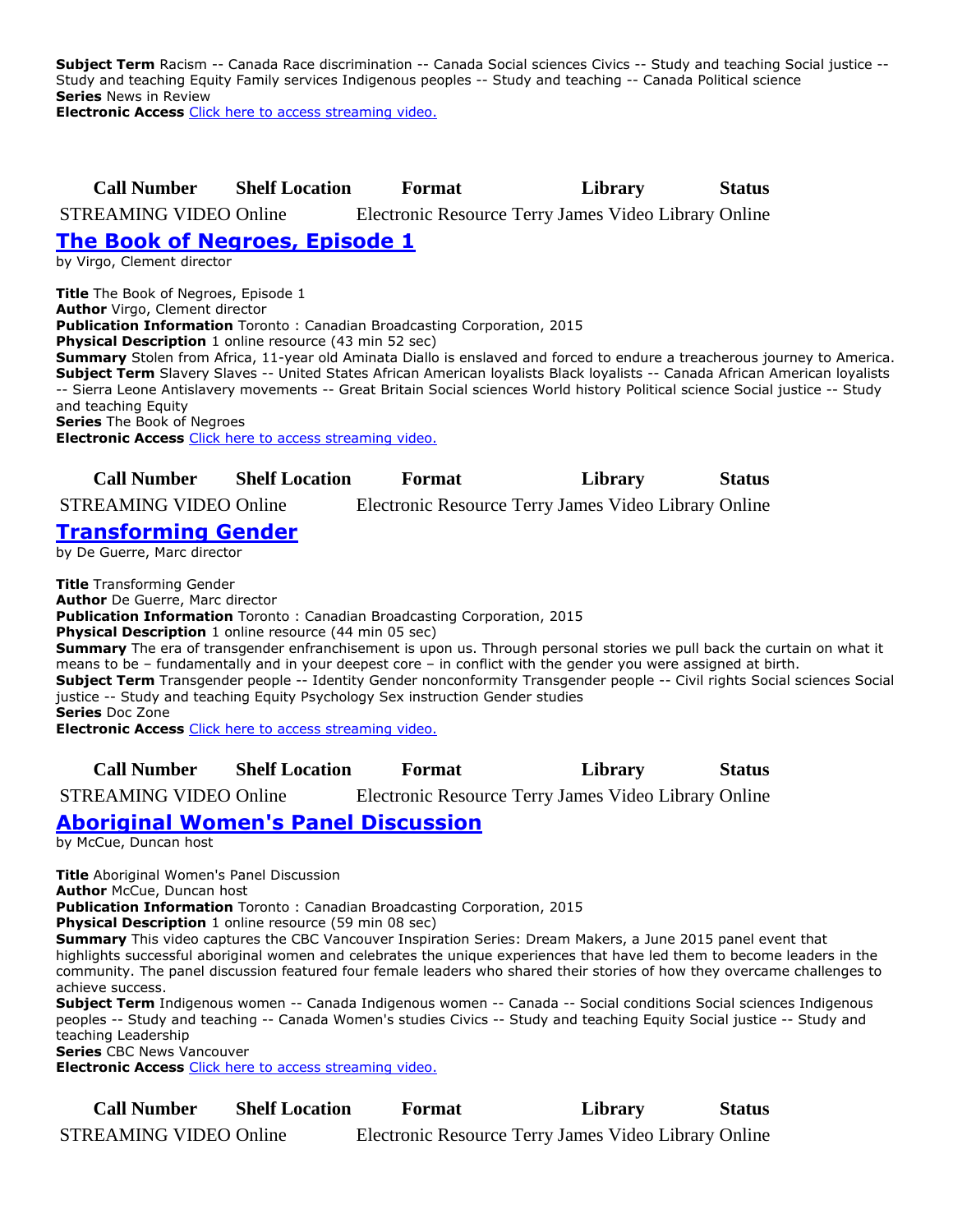**Subject Term** Racism -- Canada Race discrimination -- Canada Social sciences Civics -- Study and teaching Social justice -- Study and teaching Equity Family services Indigenous peoples -- Study and teaching -- Canada Political science **Series** News in Review

**Electronic Access** [Click here to access streaming video.](http://curio.ca/en/video/our-canada-are-we-racist-5208/)

### **Call Number Shelf Location Format Library Status**

STREAMING VIDEO Online Electronic Resource Terry James Video Library Online

# **[The Book of Negroes, Episode 1](https://ug.ent.sirsidynix.net/client/en_CA/TJRtest/search/detailnonmodal/ent:$002f$002fSD_ILS$002f0$002fSD_ILS:308579/email?)**

by Virgo, Clement director

**Title** The Book of Negroes, Episode 1

**Author** Virgo, Clement director **Publication Information** Toronto : Canadian Broadcasting Corporation, 2015

**Physical Description** 1 online resource (43 min 52 sec)

**Summary** Stolen from Africa, 11-year old Aminata Diallo is enslaved and forced to endure a treacherous journey to America. **Subject Term** Slavery Slaves -- United States African American loyalists Black loyalists -- Canada African American loyalists -- Sierra Leone Antislavery movements -- Great Britain Social sciences World history Political science Social justice -- Study and teaching Equity **Series** The Book of Negroes

**Electronic Access** [Click here to access streaming video.](http://curio.ca/en/video/the-book-of-negroes-episode-1-5191/)

| <b>Call Number</b> | <b>Shelf Location</b> | Format | Library | <b>Status</b> |
|--------------------|-----------------------|--------|---------|---------------|

STREAMING VIDEO Online Electronic Resource Terry James Video Library Online

# **[Transforming Gender](https://ug.ent.sirsidynix.net/client/en_CA/TJRtest/search/detailnonmodal/ent:$002f$002fSD_ILS$002f0$002fSD_ILS:308526/email?)**

by De Guerre, Marc director

**Title** Transforming Gender **Author** De Guerre, Marc director **Publication Information** Toronto : Canadian Broadcasting Corporation, 2015

**Physical Description** 1 online resource (44 min 05 sec)

**Summary** The era of transgender enfranchisement is upon us. Through personal stories we pull back the curtain on what it means to be – fundamentally and in your deepest core – in conflict with the gender you were assigned at birth. **Subject Term** Transgender people -- Identity Gender nonconformity Transgender people -- Civil rights Social sciences Social justice -- Study and teaching Equity Psychology Sex instruction Gender studies **Series** Doc Zone

**Electronic Access** [Click here to access streaming video.](http://curio.ca/en/video/transforming-gender-8268/)

**Call Number Shelf Location Format Library Status**

STREAMING VIDEO Online Electronic Resource Terry James Video Library Online

# **[Aboriginal Women's Panel Discussion](https://ug.ent.sirsidynix.net/client/en_CA/TJRtest/search/detailnonmodal/ent:$002f$002fSD_ILS$002f0$002fSD_ILS:308527/email?)**

by McCue, Duncan host

**Title** Aboriginal Women's Panel Discussion

**Author** McCue, Duncan host

**Publication Information** Toronto : Canadian Broadcasting Corporation, 2015

**Physical Description** 1 online resource (59 min 08 sec)

**Summary** This video captures the CBC Vancouver Inspiration Series: Dream Makers, a June 2015 panel event that highlights successful aboriginal women and celebrates the unique experiences that have led them to become leaders in the community. The panel discussion featured four female leaders who shared their stories of how they overcame challenges to achieve success.

**Subject Term** Indigenous women -- Canada Indigenous women -- Canada -- Social conditions Social sciences Indigenous peoples -- Study and teaching -- Canada Women's studies Civics -- Study and teaching Equity Social justice -- Study and teaching Leadership

**Series** CBC News Vancouver

**Electronic Access** [Click here to access streaming video.](http://curio.ca/en/video/aboriginal-womens-panel-discussion-6405/)

**Call Number Shelf Location Format Library Status** STREAMING VIDEO Online Electronic Resource Terry James Video Library Online